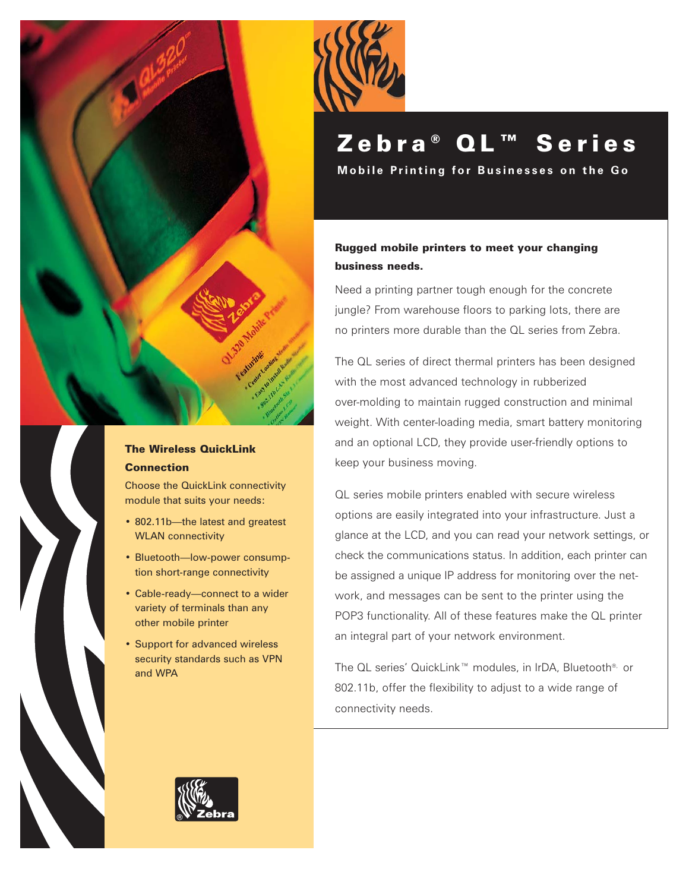

# The Wireless QuickLink **Connection**

Choose the QuickLink connectivity module that suits your needs:

- 802.11b—the latest and greatest WLAN connectivity
- Bluetooth—low-power consumption short-range connectivity
- Cable-ready—connect to a wider variety of terminals than any other mobile printer
- Support for advanced wireless security standards such as VPN and WPA



# Zebra® QL<sup>™</sup> Series

**Mobile Printing for Businesses on the Go**

# Rugged mobile printers to meet your changing business needs.

Need a printing partner tough enough for the concrete jungle? From warehouse floors to parking lots, there are no printers more durable than the QL series from Zebra.

The QL series of direct thermal printers has been designed with the most advanced technology in rubberized over-molding to maintain rugged construction and minimal weight. With center-loading media, smart battery monitoring and an optional LCD, they provide user-friendly options to keep your business moving.

QL series mobile printers enabled with secure wireless options are easily integrated into your infrastructure. Just a glance at the LCD, and you can read your network settings, or check the communications status. In addition, each printer can be assigned a unique IP address for monitoring over the network, and messages can be sent to the printer using the POP3 functionality. All of these features make the QL printer an integral part of your network environment.

The QL series' QuickLink™ modules, in IrDA, Bluetooth®, or 802.11b, offer the flexibility to adjust to a wide range of connectivity needs.

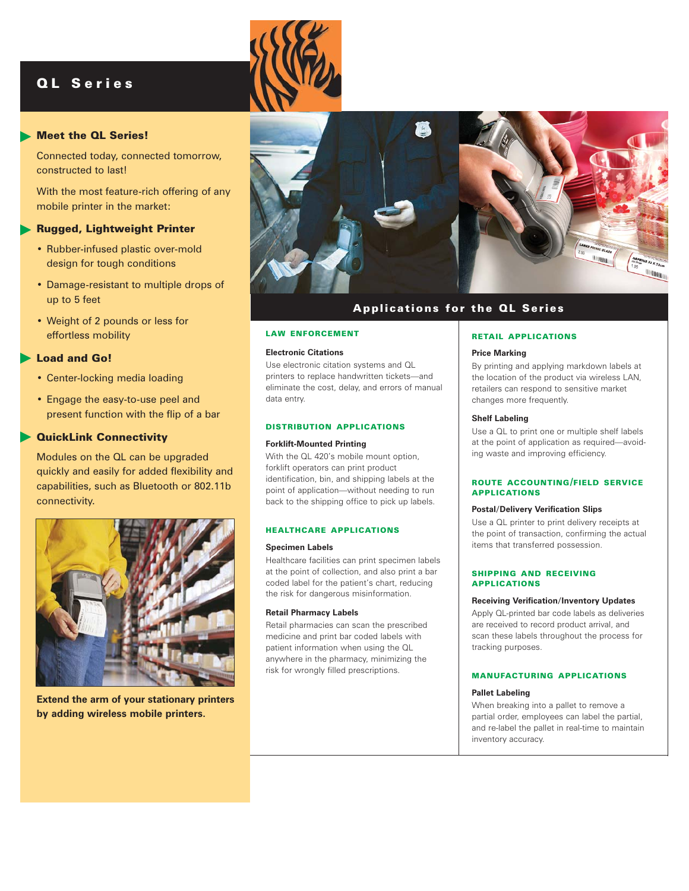# QL Series

### Meet the QL Series!

Connected today, connected tomorrow, constructed to last!

With the most feature-rich offering of any mobile printer in the market:

### Rugged, Lightweight Printer

- Rubber-infused plastic over-mold design for tough conditions
- Damage-resistant to multiple drops of up to 5 feet
- Weight of 2 pounds or less for effortless mobility

### Load and Go!

- Center-locking media loading
- Engage the easy-to-use peel and present function with the flip of a bar

### QuickLink Connectivity

Modules on the QL can be upgraded quickly and easily for added flexibility and capabilities, such as Bluetooth or 802.11b connectivity.



**Extend the arm of your stationary printers by adding wireless mobile printers.**





### Applications for the QL Series

### LAW ENFORCEMENT

#### **Electronic Citations**

Use electronic citation systems and QL printers to replace handwritten tickets—and eliminate the cost, delay, and errors of manual data entry.

### DISTRIBUTION APPLICATIONS

#### **Forklift-Mounted Printing**

With the QL 420's mobile mount option, forklift operators can print product identification, bin, and shipping labels at the point of application—without needing to run back to the shipping office to pick up labels.

### HEALTHCARE APPLICATIONS

#### **Specimen Labels**

Healthcare facilities can print specimen labels at the point of collection, and also print a bar coded label for the patient's chart, reducing the risk for dangerous misinformation.

#### **Retail Pharmacy Labels**

Retail pharmacies can scan the prescribed medicine and print bar coded labels with patient information when using the QL anywhere in the pharmacy, minimizing the risk for wrongly filled prescriptions.

### RETAIL APPLICATIONS

#### **Price Marking**

By printing and applying markdown labels at the location of the product via wireless LAN, retailers can respond to sensitive market changes more frequently.

#### **Shelf Labeling**

Use a QL to print one or multiple shelf labels at the point of application as required—avoiding waste and improving efficiency.

### ROUTE ACCOUNTING/FIELD SERVICE APPLICATIONS

#### **Postal/Delivery Verification Slips**

Use a QL printer to print delivery receipts at the point of transaction, confirming the actual items that transferred possession.

#### SHIPPING AND RECEIVING APPLICATIONS

#### **Receiving Verification/Inventory Updates**

Apply QL-printed bar code labels as deliveries are received to record product arrival, and scan these labels throughout the process for tracking purposes.

### MANUFACTURING APPLICATIONS

### **Pallet Labeling**

When breaking into a pallet to remove a partial order, employees can label the partial, and re-label the pallet in real-time to maintain inventory accuracy.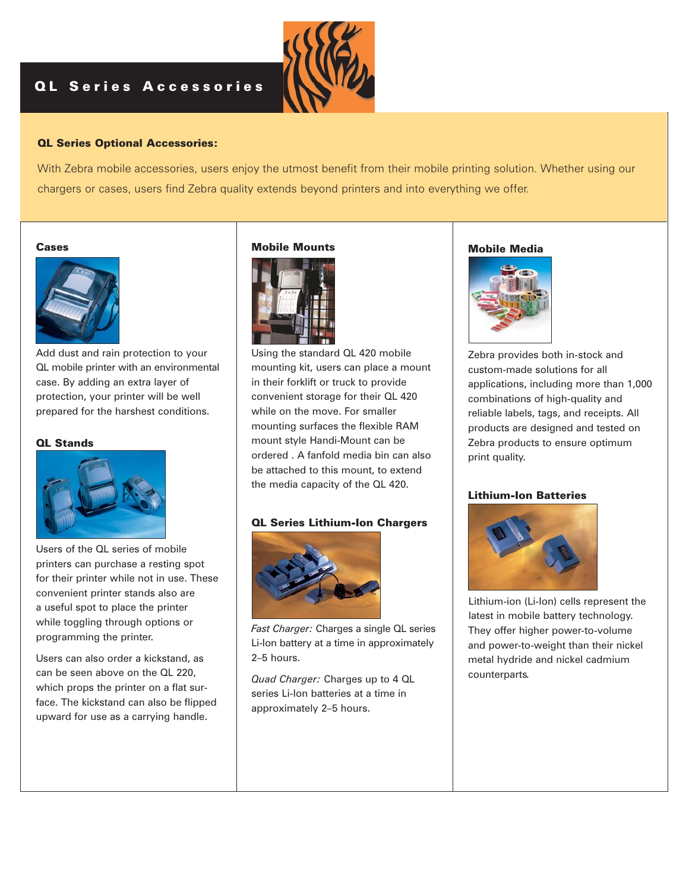# QL Series Accessories



### QL Series Optional Accessories:

With Zebra mobile accessories, users enjoy the utmost benefit from their mobile printing solution. Whether using our chargers or cases, users find Zebra quality extends beyond printers and into everything we offer.

### Cases



Add dust and rain protection to your QL mobile printer with an environmental case. By adding an extra layer of protection, your printer will be well prepared for the harshest conditions.

### QL Stands



Users of the QL series of mobile printers can purchase a resting spot for their printer while not in use. These convenient printer stands also are a useful spot to place the printer while toggling through options or programming the printer.

Users can also order a kickstand, as can be seen above on the QL 220, which props the printer on a flat surface. The kickstand can also be flipped upward for use as a carrying handle.

### Mobile Mounts



Using the standard QL 420 mobile mounting kit, users can place a mount in their forklift or truck to provide convenient storage for their QL 420 while on the move. For smaller mounting surfaces the flexible RAM mount style Handi-Mount can be ordered . A fanfold media bin can also be attached to this mount, to extend the media capacity of the QL 420.

### QL Series Lithium-Ion Chargers



*Fast Charger:* Charges a single QL series Li-Ion battery at a time in approximately 2–5 hours.

*Quad Charger:* Charges up to 4 QL series Li-Ion batteries at a time in approximately 2–5 hours.

### Mobile Media



Zebra provides both in-stock and custom-made solutions for all applications, including more than 1,000 combinations of high-quality and reliable labels, tags, and receipts. All products are designed and tested on Zebra products to ensure optimum print quality.

### Lithium-Ion Batteries



Lithium-ion (Li-Ion) cells represent the latest in mobile battery technology. They offer higher power-to-volume and power-to-weight than their nickel metal hydride and nickel cadmium counterparts*.*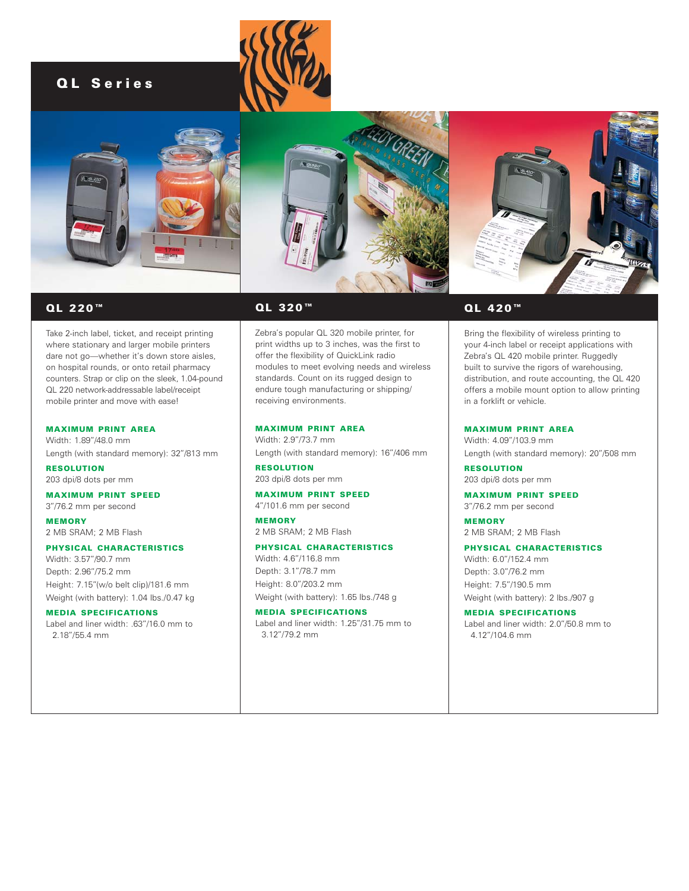QL Series









### QL 220™

Take 2-inch label, ticket, and receipt printing where stationary and larger mobile printers dare not go—whether it's down store aisles, on hospital rounds, or onto retail pharmacy counters. Strap or clip on the sleek, 1.04-pound QL 220 network-addressable label/receipt mobile printer and move with ease!

#### MAXIMUM PRINT AREA

Width: 1.89"/48.0 mm Length (with standard memory): 32"/813 mm

RESOLUTION 203 dpi/8 dots per mm

### MAXIMUM PRINT SPEED

3"/76.2 mm per second MEMORY

2 MB SRAM; 2 MB Flash

### PHYSICAL CHARACTERISTICS

Width: 3.57"/90.7 mm Depth: 2.96"/75.2 mm Height: 7.15"(w/o belt clip)/181.6 mm Weight (with battery): 1.04 lbs./0.47 kg

### MEDIA SPECIFICATIONS

Label and liner width: .63"/16.0 mm to 2.18"/55.4 mm

### QL 320™

Zebra's popular QL 320 mobile printer, for print widths up to 3 inches, was the first to offer the flexibility of QuickLink radio modules to meet evolving needs and wireless standards. Count on its rugged design to endure tough manufacturing or shipping/ receiving environments.

#### MAXIMUM PRINT AREA Width: 2.9"/73.7 mm

Length (with standard memory): 16"/406 mm

### RESOLUTION

### 203 dpi/8 dots per mm MAXIMUM PRINT SPEED

4"/101.6 mm per second

MEMORY 2 MB SRAM; 2 MB Flash

### PHYSICAL CHARACTERISTICS

Width: 4.6"/116.8 mm Depth: 3.1"/78.7 mm Height: 8.0"/203.2 mm Weight (with battery): 1.65 lbs./748 g

# MEDIA SPECIFICATIONS

Label and liner width: 1.25"/31.75 mm to 3.12"/79.2 mm

### QL 420™

Bring the flexibility of wireless printing to your 4-inch label or receipt applications with Zebra's QL 420 mobile printer. Ruggedly built to survive the rigors of warehousing, distribution, and route accounting, the QL 420 offers a mobile mount option to allow printing in a forklift or vehicle.

#### MAXIMUM PRINT AREA

Width: 4.09"/103.9 mm Length (with standard memory): 20"/508 mm

RESOLUTION 203 dpi/8 dots per mm

MAXIMUM PRINT SPEED 3"/76.2 mm per second

MEMORY 2 MB SRAM; 2 MB Flash

#### PHYSICAL CHARACTERISTICS

Width: 6.0"/152.4 mm Depth: 3.0"/76.2 mm Height: 7.5"/190.5 mm Weight (with battery): 2 lbs./907 g

MEDIA SPECIFICATIONS Label and liner width: 2.0"/50.8 mm to 4.12"/104.6 mm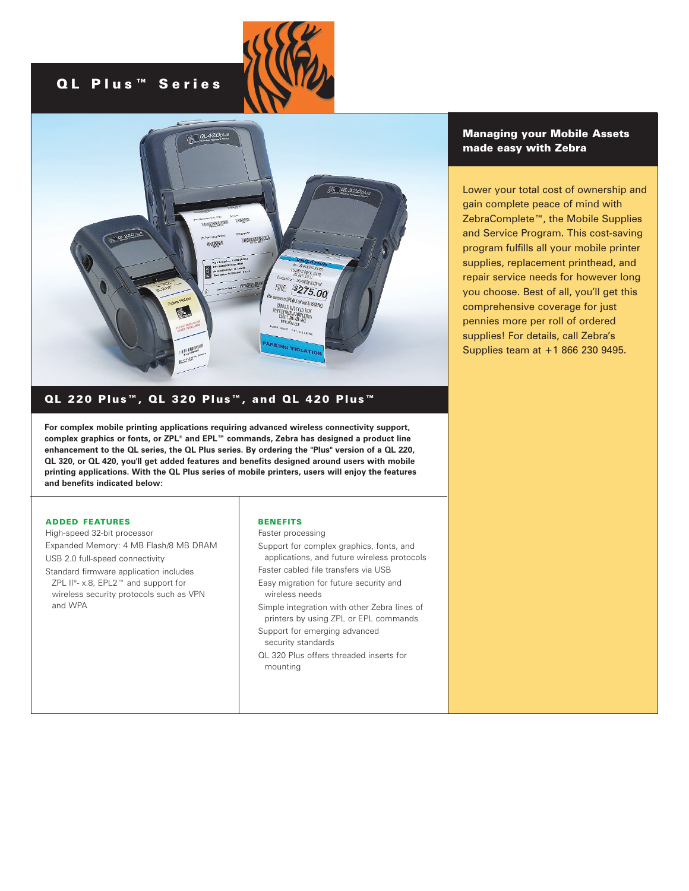# QL Plus™ Series





### QL 220 Plus™, QL 320 Plus™, and QL 420 Plus™

**For complex mobile printing applications requiring advanced wireless connectivity support, complex graphics or fonts, or ZPL® and EPL™ commands, Zebra has designed a product line enhancement to the QL series, the QL Plus series. By ordering the "Plus" version of a QL 220, QL 320, or QL 420, you'll get added features and benefits designed around users with mobile printing applications. With the QL Plus series of mobile printers, users will enjoy the features and benefits indicated below:**

### ADDED FEATURES

High-speed 32-bit processor Expanded Memory: 4 MB Flash/8 MB DRAM USB 2.0 full-speed connectivity Standard firmware application includes ZPL II®- x.8, EPL2™ and support for wireless security protocols such as VPN and WPA

#### BENEFITS

#### Faster processing

Support for complex graphics, fonts, and applications, and future wireless protocols Faster cabled file transfers via USB Easy migration for future security and wireless needs Simple integration with other Zebra lines of printers by using ZPL or EPL commands Support for emerging advanced security standards QL 320 Plus offers threaded inserts for mounting

### Managing your Mobile Assets made easy with Zebra

Lower your total cost of ownership and gain complete peace of mind with ZebraComplete™, the Mobile Supplies and Service Program. This cost-saving program fulfills all your mobile printer supplies, replacement printhead, and repair service needs for however long you choose. Best of all, you'll get this comprehensive coverage for just pennies more per roll of ordered supplies! For details, call Zebra's Supplies team at +1 866 230 9495.